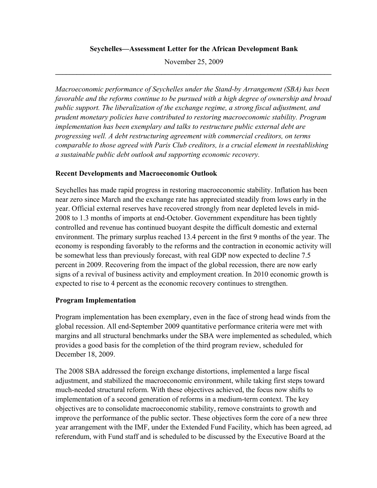## **Seychelles—Assessment Letter for the African Development Bank**

November 25, 2009 **\_\_\_\_\_\_\_\_\_\_\_\_\_\_\_\_\_\_\_\_\_\_\_\_\_\_\_\_\_\_\_\_\_\_\_\_\_\_\_\_\_\_\_\_\_\_\_\_\_\_\_\_\_\_\_\_\_\_\_\_\_\_\_\_\_\_\_\_\_\_\_\_\_\_\_\_\_\_** 

*Macroeconomic performance of Seychelles under the Stand-by Arrangement (SBA) has been favorable and the reforms continue to be pursued with a high degree of ownership and broad public support. The liberalization of the exchange regime, a strong fiscal adjustment, and prudent monetary policies have contributed to restoring macroeconomic stability. Program implementation has been exemplary and talks to restructure public external debt are progressing well. A debt restructuring agreement with commercial creditors, on terms comparable to those agreed with Paris Club creditors, is a crucial element in reestablishing a sustainable public debt outlook and supporting economic recovery.* 

## **Recent Developments and Macroeconomic Outlook**

Seychelles has made rapid progress in restoring macroeconomic stability. Inflation has been near zero since March and the exchange rate has appreciated steadily from lows early in the year. Official external reserves have recovered strongly from near depleted levels in mid-2008 to 1.3 months of imports at end-October. Government expenditure has been tightly controlled and revenue has continued buoyant despite the difficult domestic and external environment. The primary surplus reached 13.4 percent in the first 9 months of the year. The economy is responding favorably to the reforms and the contraction in economic activity will be somewhat less than previously forecast, with real GDP now expected to decline 7.5 percent in 2009. Recovering from the impact of the global recession, there are now early signs of a revival of business activity and employment creation. In 2010 economic growth is expected to rise to 4 percent as the economic recovery continues to strengthen.

## **Program Implementation**

Program implementation has been exemplary, even in the face of strong head winds from the global recession. All end-September 2009 quantitative performance criteria were met with margins and all structural benchmarks under the SBA were implemented as scheduled, which provides a good basis for the completion of the third program review, scheduled for December 18, 2009.

The 2008 SBA addressed the foreign exchange distortions, implemented a large fiscal adjustment, and stabilized the macroeconomic environment, while taking first steps toward much-needed structural reform. With these objectives achieved, the focus now shifts to implementation of a second generation of reforms in a medium-term context. The key objectives are to consolidate macroeconomic stability, remove constraints to growth and improve the performance of the public sector. These objectives form the core of a new three year arrangement with the IMF, under the Extended Fund Facility, which has been agreed, ad referendum, with Fund staff and is scheduled to be discussed by the Executive Board at the